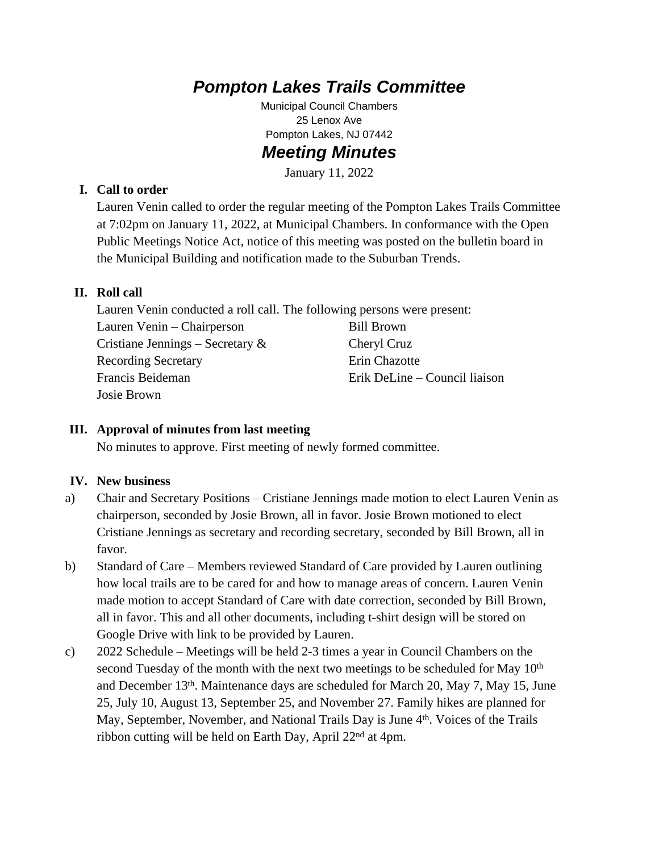# *Pompton Lakes Trails Committee*

Municipal Council Chambers 25 Lenox Ave Pompton Lakes, NJ 07442 *Meeting Minutes*

January 11, 2022

#### **I. Call to order**

Lauren Venin called to order the regular meeting of the Pompton Lakes Trails Committee at 7:02pm on January 11, 2022, at Municipal Chambers. In conformance with the Open Public Meetings Notice Act, notice of this meeting was posted on the bulletin board in the Municipal Building and notification made to the Suburban Trends.

### **II. Roll call**

Lauren Venin conducted a roll call. The following persons were present: Lauren Venin – Chairperson Cristiane Jennings – Secretary & Recording Secretary Francis Beideman Josie Brown Bill Brown Cheryl Cruz Erin Chazotte Erik DeLine – Council liaison

#### **III. Approval of minutes from last meeting**

No minutes to approve. First meeting of newly formed committee.

## **IV. New business**

- a) Chair and Secretary Positions Cristiane Jennings made motion to elect Lauren Venin as chairperson, seconded by Josie Brown, all in favor. Josie Brown motioned to elect Cristiane Jennings as secretary and recording secretary, seconded by Bill Brown, all in favor.
- b) Standard of Care Members reviewed Standard of Care provided by Lauren outlining how local trails are to be cared for and how to manage areas of concern. Lauren Venin made motion to accept Standard of Care with date correction, seconded by Bill Brown, all in favor. This and all other documents, including t-shirt design will be stored on Google Drive with link to be provided by Lauren.
- c) 2022 Schedule Meetings will be held 2-3 times a year in Council Chambers on the second Tuesday of the month with the next two meetings to be scheduled for May 10<sup>th</sup> and December 13th. Maintenance days are scheduled for March 20, May 7, May 15, June 25, July 10, August 13, September 25, and November 27. Family hikes are planned for May, September, November, and National Trails Day is June 4<sup>th</sup>. Voices of the Trails ribbon cutting will be held on Earth Day, April 22<sup>nd</sup> at 4pm.